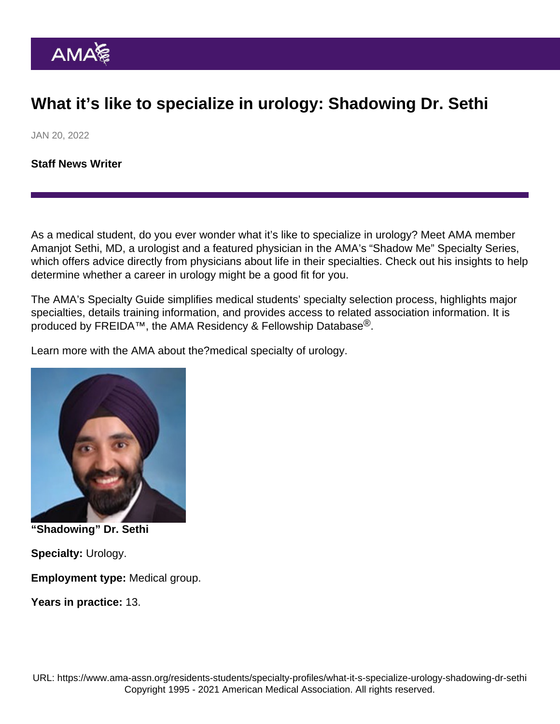## What it's like to specialize in urology: Shadowing Dr. Sethi

JAN 20, 2022

[Staff News Writer](https://www.ama-assn.org/news-leadership-viewpoints/authors-news-leadership-viewpoints/staff-news-writer)

As a medical student, do you ever wonder what it's like to specialize in urology? Meet AMA member Amanjot Sethi, MD, a urologist and a featured physician in the AMA's ["Shadow Me" Specialty Series,](https://www.ama-assn.org/series/shadow-me-specialty-series) which offers advice directly from physicians about life in their specialties. Check out his insights to help determine whether a career in urology might be a good fit for you.

The AMA's [Specialty Guide](https://www.ama-assn.org/specialty) simplifies medical students' specialty selection process, highlights major specialties, details training information, and provides access to related association information. It is produced by [FREIDA](https://freida.ama-assn.org/Freida/#/)<sup>™</sup>, the AMA Residency & Fellowship Database<sup>®</sup>.

Learn more with the AMA about the[?medical specialty of urology.](https://freida.ama-assn.org/specialty/urology)

"Shadowing" Dr. Sethi

Specialty: Urology.

Employment type: Medical group.

Years in practice: 13.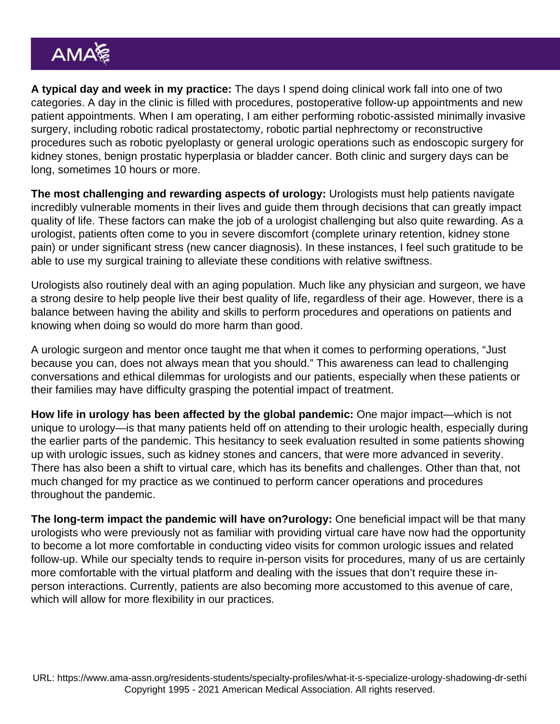A typical day and week in my practice: The days I spend doing clinical work fall into one of two categories. A day in the clinic is filled with procedures, postoperative follow-up appointments and new patient appointments. When I am operating, I am either performing robotic-assisted minimally invasive surgery, including robotic radical prostatectomy, robotic partial nephrectomy or reconstructive procedures such as robotic pyeloplasty or general urologic operations such as endoscopic surgery for kidney stones, benign prostatic hyperplasia or bladder cancer. Both clinic and surgery days can be long, sometimes 10 hours or more.

The most challenging and rewarding aspects of urology: Urologists must help patients navigate incredibly vulnerable moments in their lives and guide them through decisions that can greatly impact quality of life. These factors can make the job of a urologist challenging but also quite rewarding. As a urologist, patients often come to you in severe discomfort (complete urinary retention, kidney stone pain) or under significant stress (new cancer diagnosis). In these instances, I feel such gratitude to be able to use my surgical training to alleviate these conditions with relative swiftness.

Urologists also routinely deal with an aging population. Much like any physician and surgeon, we have a strong desire to help people live their best quality of life, regardless of their age. However, there is a balance between having the ability and skills to perform procedures and operations on patients and knowing when doing so would do more harm than good.

A urologic surgeon and mentor once taught me that when it comes to performing operations, "Just because you can, does not always mean that you should." This awareness can lead to challenging conversations and ethical dilemmas for urologists and our patients, especially when these patients or their families may have difficulty grasping the potential impact of treatment.

How life in urology has been affected by the global pandemic: One major impact—which is not unique to urology—is that many patients held off on attending to their urologic health, especially during the earlier parts of the pandemic. This hesitancy to seek evaluation resulted in some patients showing up with urologic issues, such as kidney stones and cancers, that were more advanced in severity. There has also been a shift to virtual care, which has its benefits and challenges. Other than that, not much changed for my practice as we continued to perform cancer operations and procedures throughout the pandemic.

The long-term impact the pandemic will have on?urology: One beneficial impact will be that many urologists who were previously not as familiar with providing virtual care have now had the opportunity to become a lot more comfortable in conducting video visits for common urologic issues and related follow-up. While our specialty tends to require in-person visits for procedures, many of us are certainly more comfortable with the virtual platform and dealing with the issues that don't require these inperson interactions. Currently, patients are also becoming more accustomed to this avenue of care, which will allow for more flexibility in our practices.